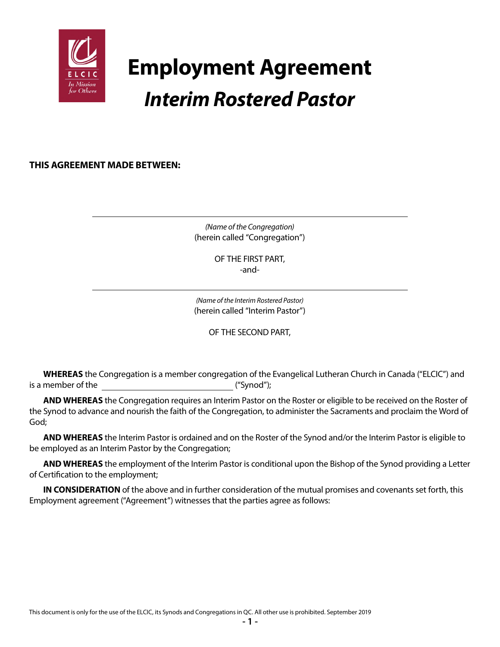

# **Employment Agreement** *Interim Rostered Pastor*

**THIS AGREEMENT MADE BETWEEN:**

*(Name of the Congregation)* (herein called "Congregation")

> OF THE FIRST PART, -and-

*(Name of the Interim Rostered Pastor)* (herein called "Interim Pastor")

OF THE SECOND PART,

**WHEREAS** the Congregation is a member congregation of the Evangelical Lutheran Church in Canada ("ELCIC") and is a member of the ("Synod");

**AND WHEREAS** the Congregation requires an Interim Pastor on the Roster or eligible to be received on the Roster of the Synod to advance and nourish the faith of the Congregation, to administer the Sacraments and proclaim the Word of God;

**AND WHEREAS** the Interim Pastor is ordained and on the Roster of the Synod and/or the Interim Pastor is eligible to be employed as an Interim Pastor by the Congregation;

**AND WHEREAS** the employment of the Interim Pastor is conditional upon the Bishop of the Synod providing a Letter of Certification to the employment;

**IN CONSIDERATION** of the above and in further consideration of the mutual promises and covenants set forth, this Employment agreement ("Agreement") witnesses that the parties agree as follows: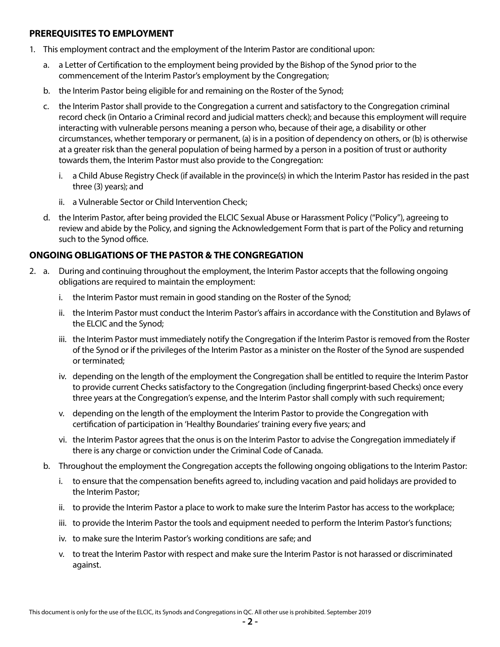#### **PREREQUISITES TO EMPLOYMENT**

- 1. This employment contract and the employment of the Interim Pastor are conditional upon:
	- a. a Letter of Certification to the employment being provided by the Bishop of the Synod prior to the commencement of the Interim Pastor's employment by the Congregation;
	- b. the Interim Pastor being eligible for and remaining on the Roster of the Synod;
	- c. the Interim Pastor shall provide to the Congregation a current and satisfactory to the Congregation criminal record check (in Ontario a Criminal record and judicial matters check); and because this employment will require interacting with vulnerable persons meaning a person who, because of their age, a disability or other circumstances, whether temporary or permanent, (a) is in a position of dependency on others, or (b) is otherwise at a greater risk than the general population of being harmed by a person in a position of trust or authority towards them, the Interim Pastor must also provide to the Congregation:
		- i. a Child Abuse Registry Check (if available in the province(s) in which the Interim Pastor has resided in the past three (3) years); and
		- ii. a Vulnerable Sector or Child Intervention Check;
	- d. the Interim Pastor, after being provided the ELCIC Sexual Abuse or Harassment Policy ("Policy"), agreeing to review and abide by the Policy, and signing the Acknowledgement Form that is part of the Policy and returning such to the Synod office.

## **ONGOING OBLIGATIONS OF THE PASTOR & THE CONGREGATION**

- 2. a. During and continuing throughout the employment, the Interim Pastor accepts that the following ongoing obligations are required to maintain the employment:
	- i. the Interim Pastor must remain in good standing on the Roster of the Synod;
	- ii. the Interim Pastor must conduct the Interim Pastor's affairs in accordance with the Constitution and Bylaws of the ELCIC and the Synod;
	- iii. the Interim Pastor must immediately notify the Congregation if the Interim Pastor is removed from the Roster of the Synod or if the privileges of the Interim Pastor as a minister on the Roster of the Synod are suspended or terminated;
	- iv. depending on the length of the employment the Congregation shall be entitled to require the Interim Pastor to provide current Checks satisfactory to the Congregation (including fingerprint-based Checks) once every three years at the Congregation's expense, and the Interim Pastor shall comply with such requirement;
	- v. depending on the length of the employment the Interim Pastor to provide the Congregation with certification of participation in 'Healthy Boundaries' training every five years; and
	- vi. the Interim Pastor agrees that the onus is on the Interim Pastor to advise the Congregation immediately if there is any charge or conviction under the Criminal Code of Canada.
	- b. Throughout the employment the Congregation accepts the following ongoing obligations to the Interim Pastor:
		- i. to ensure that the compensation benefits agreed to, including vacation and paid holidays are provided to the Interim Pastor;
		- ii. to provide the Interim Pastor a place to work to make sure the Interim Pastor has access to the workplace;
		- iii. to provide the Interim Pastor the tools and equipment needed to perform the Interim Pastor's functions;
		- iv. to make sure the Interim Pastor's working conditions are safe; and
		- v. to treat the Interim Pastor with respect and make sure the Interim Pastor is not harassed or discriminated against.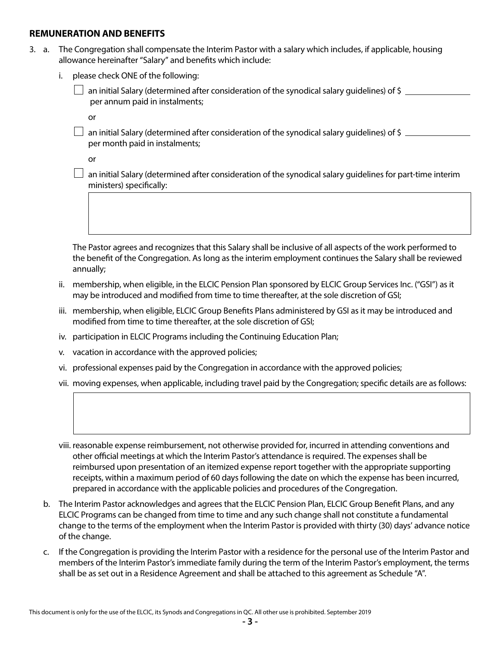#### **REMUNERATION AND BENEFITS**

- 3. a. The Congregation shall compensate the Interim Pastor with a salary which includes, if applicable, housing allowance hereinafter "Salary" and benefits which include:
	- i. please check ONE of the following:

 an initial Salary (determined after consideration of the synodical salary guidelines) of \$ per annum paid in instalments;

**or** *or* 

 $\Box$  an initial Salary (determined after consideration of the synodical salary guidelines) of \$ per month paid in instalments;

**or** *or* 

 $\Box$  an initial Salary (determined after consideration of the synodical salary guidelines for part-time interim ministers) specifically:

 The Pastor agrees and recognizes that this Salary shall be inclusive of all aspects of the work performed to the benefit of the Congregation. As long as the interim employment continues the Salary shall be reviewed annually;

- ii. membership, when eligible, in the ELCIC Pension Plan sponsored by ELCIC Group Services Inc. ("GSI") as it may be introduced and modified from time to time thereafter, at the sole discretion of GSI;
- iii. membership, when eligible, ELCIC Group Benefits Plans administered by GSI as it may be introduced and modified from time to time thereafter, at the sole discretion of GSI;
- iv. participation in ELCIC Programs including the Continuing Education Plan;
- v. vacation in accordance with the approved policies;
- vi. professional expenses paid by the Congregation in accordance with the approved policies;
- vii. moving expenses, when applicable, including travel paid by the Congregation; specific details are as follows:

 viii. reasonable expense reimbursement, not otherwise provided for, incurred in attending conventions and other official meetings at which the Interim Pastor's attendance is required. The expenses shall be reimbursed upon presentation of an itemized expense report together with the appropriate supporting receipts, within a maximum period of 60 days following the date on which the expense has been incurred, prepared in accordance with the applicable policies and procedures of the Congregation.

- b. The Interim Pastor acknowledges and agrees that the ELCIC Pension Plan, ELCIC Group Benefit Plans, and any ELCIC Programs can be changed from time to time and any such change shall not constitute a fundamental change to the terms of the employment when the Interim Pastor is provided with thirty (30) days' advance notice of the change.
- c. If the Congregation is providing the Interim Pastor with a residence for the personal use of the Interim Pastor and members of the Interim Pastor's immediate family during the term of the Interim Pastor's employment, the terms shall be as set out in a Residence Agreement and shall be attached to this agreement as Schedule "A".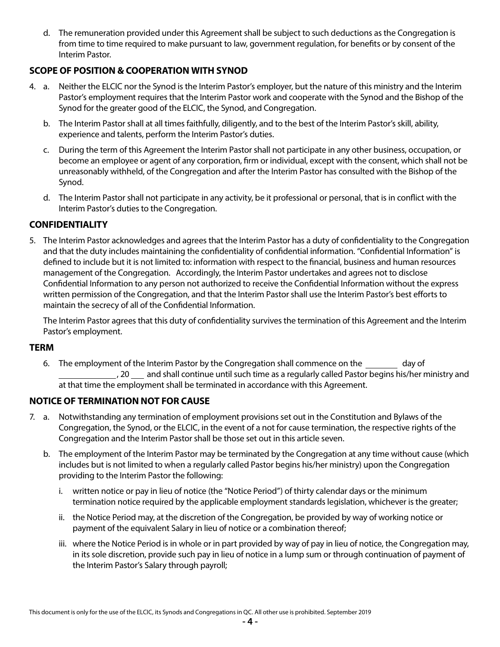d. The remuneration provided under this Agreement shall be subject to such deductions as the Congregation is from time to time required to make pursuant to law, government regulation, for benefits or by consent of the Interim Pastor.

## **SCOPE OF POSITION & COOPERATION WITH SYNOD**

- 4. a. Neither the ELCIC nor the Synod is the Interim Pastor's employer, but the nature of this ministry and the Interim Pastor's employment requires that the Interim Pastor work and cooperate with the Synod and the Bishop of the Synod for the greater good of the ELCIC, the Synod, and Congregation.
	- b. The Interim Pastor shall at all times faithfully, diligently, and to the best of the Interim Pastor's skill, ability, experience and talents, perform the Interim Pastor's duties.
	- c. During the term of this Agreement the Interim Pastor shall not participate in any other business, occupation, or become an employee or agent of any corporation, firm or individual, except with the consent, which shall not be unreasonably withheld, of the Congregation and after the Interim Pastor has consulted with the Bishop of the Synod.
	- d. The Interim Pastor shall not participate in any activity, be it professional or personal, that is in conflict with the Interim Pastor's duties to the Congregation.

## **CONFIDENTIALITY**

5. The Interim Pastor acknowledges and agrees that the Interim Pastor has a duty of confidentiality to the Congregation and that the duty includes maintaining the confidentiality of confidential information. "Confidential Information" is defined to include but it is not limited to: information with respect to the financial, business and human resources management of the Congregation. Accordingly, the Interim Pastor undertakes and agrees not to disclose Confidential Information to any person not authorized to receive the Confidential Information without the express written permission of the Congregation, and that the Interim Pastor shall use the Interim Pastor's best efforts to maintain the secrecy of all of the Confidential Information.

The Interim Pastor agrees that this duty of confidentiality survives the termination of this Agreement and the Interim Pastor's employment.

#### **TERM**

6. The employment of the Interim Pastor by the Congregation shall commence on the day of , 20 and shall continue until such time as a regularly called Pastor begins his/her ministry and at that time the employment shall be terminated in accordance with this Agreement.

## **NOTICE OF TERMINATION NOT FOR CAUSE**

- 7. a. Notwithstanding any termination of employment provisions set out in the Constitution and Bylaws of the Congregation, the Synod, or the ELCIC, in the event of a not for cause termination, the respective rights of the Congregation and the Interim Pastor shall be those set out in this article seven.
	- b. The employment of the Interim Pastor may be terminated by the Congregation at any time without cause (which includes but is not limited to when a regularly called Pastor begins his/her ministry) upon the Congregation providing to the Interim Pastor the following:
		- i. written notice or pay in lieu of notice (the "Notice Period") of thirty calendar days or the minimum termination notice required by the applicable employment standards legislation, whichever is the greater;
		- ii. the Notice Period may, at the discretion of the Congregation, be provided by way of working notice or payment of the equivalent Salary in lieu of notice or a combination thereof;
		- iii. where the Notice Period is in whole or in part provided by way of pay in lieu of notice, the Congregation may, in its sole discretion, provide such pay in lieu of notice in a lump sum or through continuation of payment of the Interim Pastor's Salary through payroll;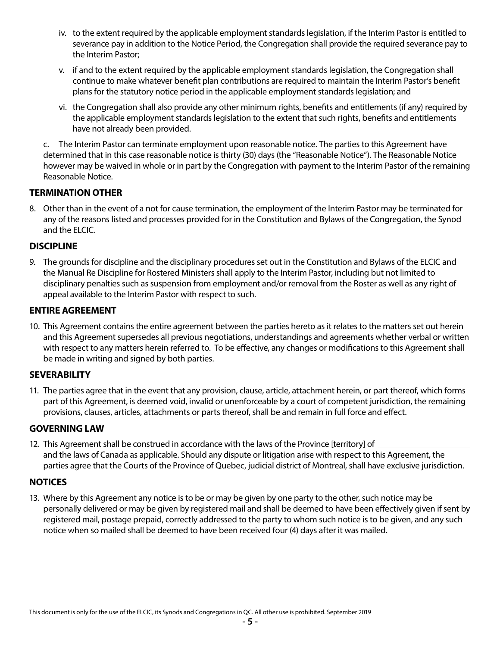- iv. to the extent required by the applicable employment standards legislation, if the Interim Pastor is entitled to severance pay in addition to the Notice Period, the Congregation shall provide the required severance pay to the Interim Pastor;
- v. if and to the extent required by the applicable employment standards legislation, the Congregation shall continue to make whatever benefit plan contributions are required to maintain the Interim Pastor's benefit plans for the statutory notice period in the applicable employment standards legislation; and
- vi. the Congregation shall also provide any other minimum rights, benefits and entitlements (if any) required by the applicable employment standards legislation to the extent that such rights, benefits and entitlements have not already been provided.

c. The Interim Pastor can terminate employment upon reasonable notice. The parties to this Agreement have determined that in this case reasonable notice is thirty (30) days (the "Reasonable Notice"). The Reasonable Notice however may be waived in whole or in part by the Congregation with payment to the Interim Pastor of the remaining Reasonable Notice.

## **TERMINATION OTHER**

8. Other than in the event of a not for cause termination, the employment of the Interim Pastor may be terminated for any of the reasons listed and processes provided for in the Constitution and Bylaws of the Congregation, the Synod and the ELCIC.

#### **DISCIPLINE**

9. The grounds for discipline and the disciplinary procedures set out in the Constitution and Bylaws of the ELCIC and the Manual Re Discipline for Rostered Ministers shall apply to the Interim Pastor, including but not limited to disciplinary penalties such as suspension from employment and/or removal from the Roster as well as any right of appeal available to the Interim Pastor with respect to such.

#### **ENTIRE AGREEMENT**

10. This Agreement contains the entire agreement between the parties hereto as it relates to the matters set out herein and this Agreement supersedes all previous negotiations, understandings and agreements whether verbal or written with respect to any matters herein referred to. To be effective, any changes or modifications to this Agreement shall be made in writing and signed by both parties.

#### **SEVERABILITY**

11. The parties agree that in the event that any provision, clause, article, attachment herein, or part thereof, which forms part of this Agreement, is deemed void, invalid or unenforceable by a court of competent jurisdiction, the remaining provisions, clauses, articles, attachments or parts thereof, shall be and remain in full force and effect.

#### **GOVERNING LAW**

12. This Agreement shall be construed in accordance with the laws of the Province [territory] of  $\equiv$ and the laws of Canada as applicable. Should any dispute or litigation arise with respect to this Agreement, the parties agree that the Courts of the Province of Quebec, judicial district of Montreal, shall have exclusive jurisdiction.

## **NOTICES**

13. Where by this Agreement any notice is to be or may be given by one party to the other, such notice may be personally delivered or may be given by registered mail and shall be deemed to have been effectively given if sent by registered mail, postage prepaid, correctly addressed to the party to whom such notice is to be given, and any such notice when so mailed shall be deemed to have been received four (4) days after it was mailed.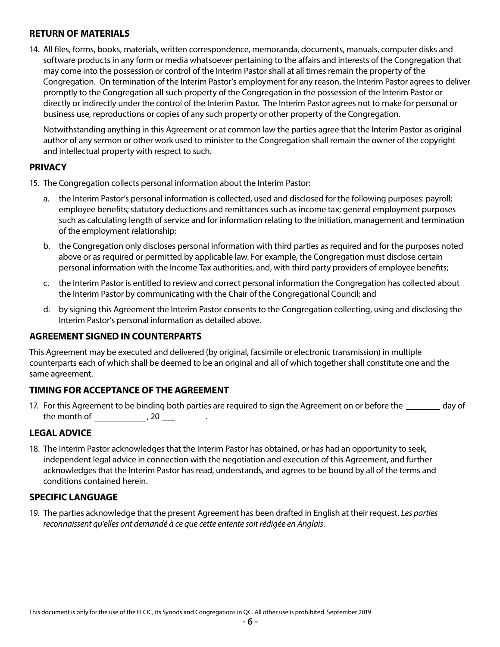## **RETURN OF MATERIALS**

14. All files, forms, books, materials, written correspondence, memoranda, documents, manuals, computer disks and software products in any form or media whatsoever pertaining to the affairs and interests of the Congregation that may come into the possession or control of the Interim Pastor shall at all times remain the property of the Congregation. On termination of the Interim Pastor's employment for any reason, the Interim Pastor agrees to deliver promptly to the Congregation all such property of the Congregation in the possession of the Interim Pastor or directly or indirectly under the control of the Interim Pastor. The Interim Pastor agrees not to make for personal or business use, reproductions or copies of any such property or other property of the Congregation.

Notwithstanding anything in this Agreement or at common law the parties agree that the Interim Pastor as original author of any sermon or other work used to minister to the Congregation shall remain the owner of the copyright and intellectual property with respect to such.

#### **PRIVACY**

- 15. The Congregation collects personal information about the Interim Pastor:
	- a. the Interim Pastor's personal information is collected, used and disclosed for the following purposes: payroll; employee benefits; statutory deductions and remittances such as income tax; general employment purposes such as calculating length of service and for information relating to the initiation, management and termination of the employment relationship;
	- b. the Congregation only discloses personal information with third parties as required and for the purposes noted above or as required or permitted by applicable law. For example, the Congregation must disclose certain personal information with the Income Tax authorities, and, with third party providers of employee benefits;
	- c. the Interim Pastor is entitled to review and correct personal information the Congregation has collected about the Interim Pastor by communicating with the Chair of the Congregational Council; and
	- d. by signing this Agreement the Interim Pastor consents to the Congregation collecting, using and disclosing the Interim Pastor's personal information as detailed above.

## **AGREEMENT SIGNED IN COUNTERPARTS**

This Agreement may be executed and delivered (by original, facsimile or electronic transmission) in multiple counterparts each of which shall be deemed to be an original and all of which together shall constitute one and the same agreement.

## **TIMING FOR ACCEPTANCE OF THE AGREEMENT**

17. For this Agreement to be binding both parties are required to sign the Agreement on or before the day of the month of  $\frac{1}{2}$ , 20  $\frac{1}{2}$ 

## **LEGAL ADVICE**

18. The Interim Pastor acknowledges that the Interim Pastor has obtained, or has had an opportunity to seek, independent legal advice in connection with the negotiation and execution of this Agreement, and further acknowledges that the Interim Pastor has read, understands, and agrees to be bound by all of the terms and conditions contained herein.

## **SPECIFIC LANGUAGE**

19. The parties acknowledge that the present Agreement has been drafted in English at their request. *Les parties reconnaissent qu'elles ont demandé à ce que cette entente soit rédigée en Anglais*.